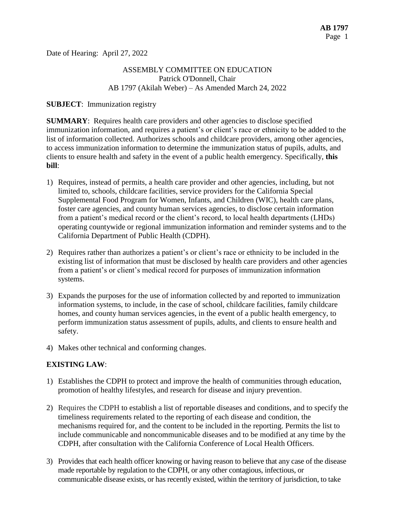Date of Hearing: April 27, 2022

# ASSEMBLY COMMITTEE ON EDUCATION Patrick O'Donnell, Chair AB 1797 (Akilah Weber) – As Amended March 24, 2022

#### **SUBJECT**: Immunization registry

**SUMMARY**: Requires health care providers and other agencies to disclose specified immunization information, and requires a patient's or client's race or ethnicity to be added to the list of information collected. Authorizes schools and childcare providers, among other agencies, to access immunization information to determine the immunization status of pupils, adults, and clients to ensure health and safety in the event of a public health emergency. Specifically, **this bill**:

- 1) Requires, instead of permits, a health care provider and other agencies, including, but not limited to, schools, childcare facilities, service providers for the California Special Supplemental Food Program for Women, Infants, and Children (WIC), health care plans, foster care agencies, and county human services agencies, to disclose certain information from a patient's medical record or the client's record, to local health departments (LHDs) operating countywide or regional immunization information and reminder systems and to the California Department of Public Health (CDPH).
- 2) Requires rather than authorizes a patient's or client's race or ethnicity to be included in the existing list of information that must be disclosed by health care providers and other agencies from a patient's or client's medical record for purposes of immunization information systems.
- 3) Expands the purposes for the use of information collected by and reported to immunization information systems, to include, in the case of school, childcare facilities, family childcare homes, and county human services agencies, in the event of a public health emergency, to perform immunization status assessment of pupils, adults, and clients to ensure health and safety.
- 4) Makes other technical and conforming changes.

# **EXISTING LAW**:

- 1) Establishes the CDPH to protect and improve the health of communities through education, promotion of healthy lifestyles, and research for disease and injury prevention.
- 2) Requires the CDPH to establish a list of reportable diseases and conditions, and to specify the timeliness requirements related to the reporting of each disease and condition, the mechanisms required for, and the content to be included in the reporting. Permits the list to include communicable and noncommunicable diseases and to be modified at any time by the CDPH, after consultation with the California Conference of Local Health Officers.
- 3) Provides that each health officer knowing or having reason to believe that any case of the disease made reportable by regulation to the CDPH, or any other contagious, infectious, or communicable disease exists, or has recently existed, within the territory of jurisdiction, to take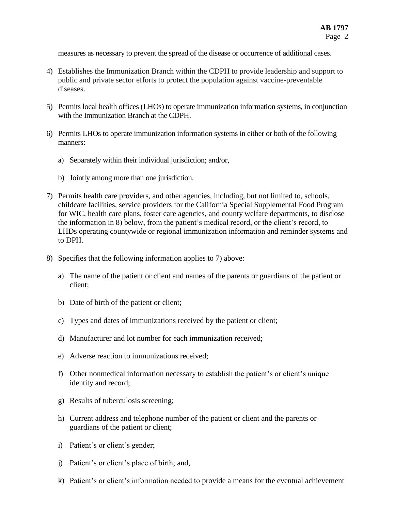measures as necessary to prevent the spread of the disease or occurrence of additional cases.

- 4) Establishes the Immunization Branch within the CDPH to provide leadership and support to public and private sector efforts to protect the population against vaccine-preventable diseases.
- 5) Permits local health offices (LHOs) to operate immunization information systems, in conjunction with the Immunization Branch at the CDPH.
- 6) Permits LHOs to operate immunization information systems in either or both of the following manners:
	- a) Separately within their individual jurisdiction; and/or,
	- b) Jointly among more than one jurisdiction.
- 7) Permits health care providers, and other agencies, including, but not limited to, schools, childcare facilities, service providers for the California Special Supplemental Food Program for WIC, health care plans, foster care agencies, and county welfare departments, to disclose the information in 8) below, from the patient's medical record, or the client's record, to LHDs operating countywide or regional immunization information and reminder systems and to DPH.
- 8) Specifies that the following information applies to 7) above:
	- a) The name of the patient or client and names of the parents or guardians of the patient or client;
	- b) Date of birth of the patient or client;
	- c) Types and dates of immunizations received by the patient or client;
	- d) Manufacturer and lot number for each immunization received;
	- e) Adverse reaction to immunizations received;
	- f) Other nonmedical information necessary to establish the patient's or client's unique identity and record;
	- g) Results of tuberculosis screening;
	- h) Current address and telephone number of the patient or client and the parents or guardians of the patient or client;
	- i) Patient's or client's gender;
	- j) Patient's or client's place of birth; and,
	- k) Patient's or client's information needed to provide a means for the eventual achievement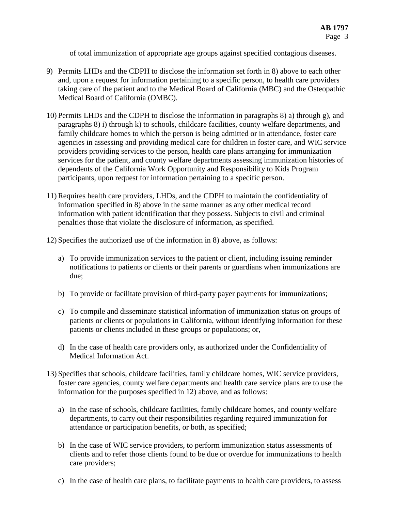of total immunization of appropriate age groups against specified contagious diseases.

- 9) Permits LHDs and the CDPH to disclose the information set forth in 8) above to each other and, upon a request for information pertaining to a specific person, to health care providers taking care of the patient and to the Medical Board of California (MBC) and the Osteopathic Medical Board of California (OMBC).
- 10) Permits LHDs and the CDPH to disclose the information in paragraphs 8) a) through g), and paragraphs 8) i) through k) to schools, childcare facilities, county welfare departments, and family childcare homes to which the person is being admitted or in attendance, foster care agencies in assessing and providing medical care for children in foster care, and WIC service providers providing services to the person, health care plans arranging for immunization services for the patient, and county welfare departments assessing immunization histories of dependents of the California Work Opportunity and Responsibility to Kids Program participants, upon request for information pertaining to a specific person.
- 11) Requires health care providers, LHDs, and the CDPH to maintain the confidentiality of information specified in 8) above in the same manner as any other medical record information with patient identification that they possess. Subjects to civil and criminal penalties those that violate the disclosure of information, as specified.
- 12) Specifies the authorized use of the information in 8) above, as follows:
	- a) To provide immunization services to the patient or client, including issuing reminder notifications to patients or clients or their parents or guardians when immunizations are due;
	- b) To provide or facilitate provision of third-party payer payments for immunizations;
	- c) To compile and disseminate statistical information of immunization status on groups of patients or clients or populations in California, without identifying information for these patients or clients included in these groups or populations; or,
	- d) In the case of health care providers only, as authorized under the Confidentiality of Medical Information Act.
- 13) Specifies that schools, childcare facilities, family childcare homes, WIC service providers, foster care agencies, county welfare departments and health care service plans are to use the information for the purposes specified in 12) above, and as follows:
	- a) In the case of schools, childcare facilities, family childcare homes, and county welfare departments, to carry out their responsibilities regarding required immunization for attendance or participation benefits, or both, as specified;
	- b) In the case of WIC service providers, to perform immunization status assessments of clients and to refer those clients found to be due or overdue for immunizations to health care providers;
	- c) In the case of health care plans, to facilitate payments to health care providers, to assess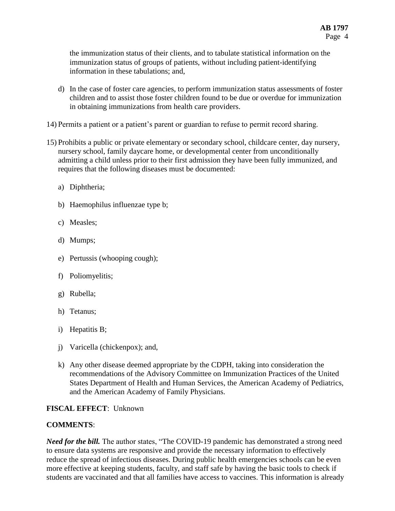the immunization status of their clients, and to tabulate statistical information on the immunization status of groups of patients, without including patient-identifying information in these tabulations; and,

- d) In the case of foster care agencies, to perform immunization status assessments of foster children and to assist those foster children found to be due or overdue for immunization in obtaining immunizations from health care providers.
- 14) Permits a patient or a patient's parent or guardian to refuse to permit record sharing.
- 15) Prohibits a public or private elementary or secondary school, childcare center, day nursery, nursery school, family daycare home, or developmental center from unconditionally admitting a child unless prior to their first admission they have been fully immunized, and requires that the following diseases must be documented:
	- a) Diphtheria;
	- b) Haemophilus influenzae type b;
	- c) Measles;
	- d) Mumps;
	- e) Pertussis (whooping cough);
	- f) Poliomyelitis;
	- g) Rubella;
	- h) Tetanus;
	- i) Hepatitis B;
	- j) Varicella (chickenpox); and,
	- k) Any other disease deemed appropriate by the CDPH, taking into consideration the recommendations of the Advisory Committee on Immunization Practices of the United States Department of Health and Human Services, the American Academy of Pediatrics, and the American Academy of Family Physicians.

# **FISCAL EFFECT**: Unknown

# **COMMENTS**:

*Need for the bill.* The author states, "The COVID-19 pandemic has demonstrated a strong need to ensure data systems are responsive and provide the necessary information to effectively reduce the spread of infectious diseases. During public health emergencies schools can be even more effective at keeping students, faculty, and staff safe by having the basic tools to check if students are vaccinated and that all families have access to vaccines. This information is already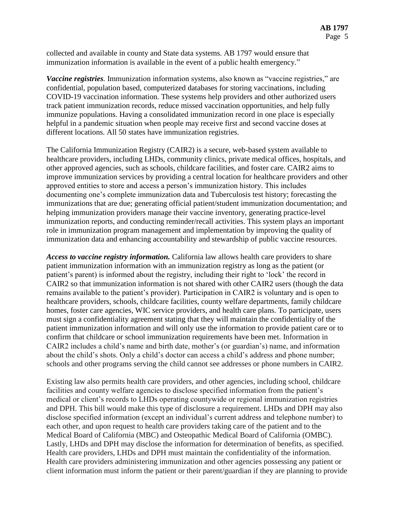collected and available in county and State data systems. AB 1797 would ensure that immunization information is available in the event of a public health emergency."

*Vaccine registries.* Immunization information systems, also known as "vaccine registries," are confidential, population based, computerized databases for storing vaccinations, including COVID-19 vaccination information. These systems help providers and other authorized users track patient immunization records, reduce missed vaccination opportunities, and help fully immunize populations. Having a consolidated immunization record in one place is especially helpful in a pandemic situation when people may receive first and second vaccine doses at different locations. All 50 states have immunization registries.

The California Immunization Registry (CAIR2) is a secure, web-based system available to healthcare providers, including LHDs, community clinics, private medical offices, hospitals, and other approved agencies, such as schools, childcare facilities, and foster care. CAIR2 aims to improve immunization services by providing a central location for healthcare providers and other approved entities to store and access a person's immunization history. This includes documenting one's complete immunization data and Tuberculosis test history; forecasting the immunizations that are due; generating official patient/student immunization documentation; and helping immunization providers manage their vaccine inventory, generating practice-level immunization reports, and conducting reminder/recall activities. This system plays an important role in immunization program management and implementation by improving the quality of immunization data and enhancing accountability and stewardship of public vaccine resources.

*Access to vaccine registry information.* California law allows health care providers to share patient immunization information with an immunization registry as long as the patient (or patient's parent) is informed about the registry, including their right to 'lock' the record in CAIR2 so that immunization information is not shared with other CAIR2 users (though the data remains available to the patient's provider). Participation in CAIR2 is voluntary and is open to healthcare providers, schools, childcare facilities, county welfare departments, family childcare homes, foster care agencies, WIC service providers, and health care plans. To participate, users must sign a confidentiality agreement stating that they will maintain the confidentiality of the patient immunization information and will only use the information to provide patient care or to confirm that childcare or school immunization requirements have been met. Information in CAIR2 includes a child's name and birth date, mother's (or guardian's) name, and information about the child's shots. Only a child's doctor can access a child's address and phone number; schools and other programs serving the child cannot see addresses or phone numbers in CAIR2.

Existing law also permits health care providers, and other agencies, including school, childcare facilities and county welfare agencies to disclose specified information from the patient's medical or client's records to LHDs operating countywide or regional immunization registries and DPH. This bill would make this type of disclosure a requirement. LHDs and DPH may also disclose specified information (except an individual's current address and telephone number) to each other, and upon request to health care providers taking care of the patient and to the Medical Board of California (MBC) and Osteopathic Medical Board of California (OMBC). Lastly, LHDs and DPH may disclose the information for determination of benefits, as specified. Health care providers, LHDs and DPH must maintain the confidentiality of the information. Health care providers administering immunization and other agencies possessing any patient or client information must inform the patient or their parent/guardian if they are planning to provide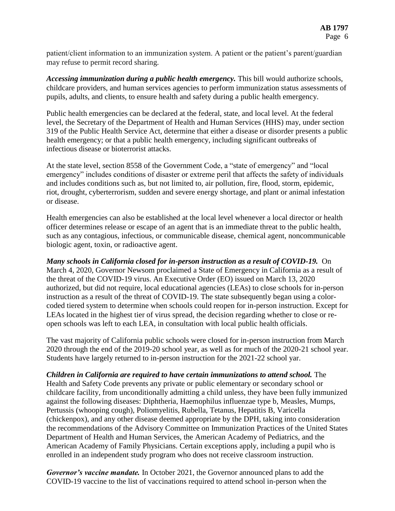patient/client information to an immunization system. A patient or the patient's parent/guardian may refuse to permit record sharing.

*Accessing immunization during a public health emergency.* This bill would authorize schools, childcare providers, and human services agencies to perform immunization status assessments of pupils, adults, and clients, to ensure health and safety during a public health emergency.

Public health emergencies can be declared at the federal, state, and local level. At the federal level, the Secretary of the Department of Health and Human Services (HHS) may, under section 319 of the Public Health Service Act, determine that either a disease or disorder presents a public health emergency; or that a public health emergency, including significant outbreaks of infectious disease or bioterrorist attacks.

At the state level, section 8558 of the Government Code, a "state of emergency" and "local emergency" includes conditions of disaster or extreme peril that affects the safety of individuals and includes conditions such as, but not limited to, air pollution, fire, flood, storm, epidemic, riot, drought, cyberterrorism, sudden and severe energy shortage, and plant or animal infestation or disease.

Health emergencies can also be established at the local level whenever a local director or health officer determines release or escape of an agent that is an immediate threat to the public health, such as any contagious, infectious, or communicable disease, chemical agent, noncommunicable biologic agent, toxin, or radioactive agent.

*Many schools in California closed for in-person instruction as a result of COVID-19.* On March 4, 2020, Governor Newsom proclaimed a State of Emergency in California as a result of the threat of the COVID-19 virus. An Executive Order (EO) issued on March 13, 2020 authorized, but did not require, local educational agencies (LEAs) to close schools for in-person instruction as a result of the threat of COVID-19. The state subsequently began using a colorcoded tiered system to determine when schools could reopen for in-person instruction. Except for LEAs located in the highest tier of virus spread, the decision regarding whether to close or reopen schools was left to each LEA, in consultation with local public health officials.

The vast majority of California public schools were closed for in-person instruction from March 2020 through the end of the 2019-20 school year, as well as for much of the 2020-21 school year. Students have largely returned to in-person instruction for the 2021-22 school yar.

*Children in California are required to have certain immunizations to attend school.* The Health and Safety Code prevents any private or public elementary or secondary school or childcare facility, from unconditionally admitting a child unless, they have been fully immunized against the following diseases: Diphtheria, Haemophilus influenzae type b, Measles, Mumps, Pertussis (whooping cough), Poliomyelitis, Rubella, Tetanus, Hepatitis B, Varicella (chickenpox), and any other disease deemed appropriate by the DPH, taking into consideration the recommendations of the Advisory Committee on Immunization Practices of the United States Department of Health and Human Services, the American Academy of Pediatrics, and the American Academy of Family Physicians. Certain exceptions apply, including a pupil who is enrolled in an independent study program who does not receive classroom instruction.

*Governor's vaccine mandate.* In October 2021, the Governor announced plans to add the COVID-19 vaccine to the list of vaccinations required to attend school in-person when the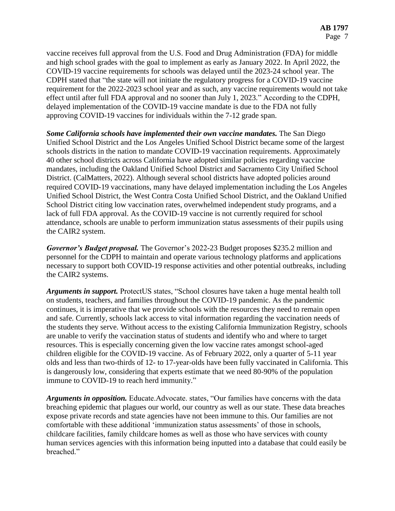vaccine receives full approval from the U.S. Food and Drug Administration (FDA) for middle and high school grades with the goal to implement as early as January 2022. In April 2022, the COVID-19 vaccine requirements for schools was delayed until the 2023-24 school year. The CDPH stated that "the state will not initiate the regulatory progress for a COVID-19 vaccine requirement for the 2022-2023 school year and as such, any vaccine requirements would not take effect until after full FDA approval and no sooner than July 1, 2023." According to the CDPH, delayed implementation of the COVID-19 vaccine mandate is due to the FDA not fully approving COVID-19 vaccines for individuals within the 7-12 grade span.

*Some California schools have implemented their own vaccine mandates.* The San Diego Unified School District and the Los Angeles Unified School District became some of the largest schools districts in the nation to mandate COVID-19 vaccination requirements. Approximately 40 other school districts across California have adopted similar policies regarding vaccine mandates, including the Oakland Unified School District and Sacramento City Unified School District. (CalMatters, 2022). Although several school districts have adopted policies around required COVID-19 vaccinations, many have delayed implementation including the Los Angeles Unified School District, the West Contra Costa Unified School District, and the Oakland Unified School District citing low vaccination rates, overwhelmed independent study programs, and a lack of full FDA approval. As the COVID-19 vaccine is not currently required for school attendance, schools are unable to perform immunization status assessments of their pupils using the CAIR2 system.

*Governor's Budget proposal.* The Governor's 2022-23 Budget proposes \$235.2 million and personnel for the CDPH to maintain and operate various technology platforms and applications necessary to support both COVID-19 response activities and other potential outbreaks, including the CAIR2 systems.

*Arguments in support.* ProtectUS states, "School closures have taken a huge mental health toll on students, teachers, and families throughout the COVID-19 pandemic. As the pandemic continues, it is imperative that we provide schools with the resources they need to remain open and safe. Currently, schools lack access to vital information regarding the vaccination needs of the students they serve. Without access to the existing California Immunization Registry, schools are unable to verify the vaccination status of students and identify who and where to target resources. This is especially concerning given the low vaccine rates amongst school-aged children eligible for the COVID-19 vaccine. As of February 2022, only a quarter of 5-11 year olds and less than two-thirds of 12- to 17-year-olds have been fully vaccinated in California. This is dangerously low, considering that experts estimate that we need 80-90% of the population immune to COVID-19 to reach herd immunity."

*Arguments in opposition.* Educate.Advocate. states, "Our families have concerns with the data breaching epidemic that plagues our world, our country as well as our state. These data breaches expose private records and state agencies have not been immune to this. Our families are not comfortable with these additional 'immunization status assessments' of those in schools, childcare facilities, family childcare homes as well as those who have services with county human services agencies with this information being inputted into a database that could easily be breached."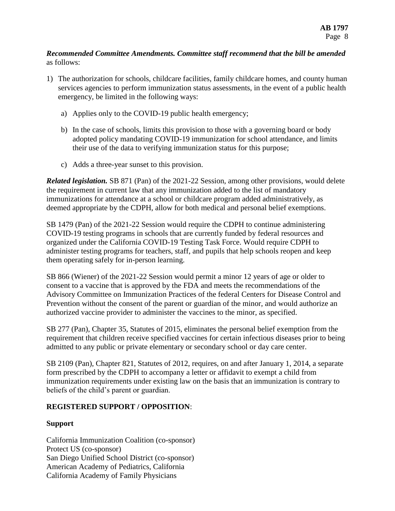## *Recommended Committee Amendments. Committee staff recommend that the bill be amended*  as follows:

- 1) The authorization for schools, childcare facilities, family childcare homes, and county human services agencies to perform immunization status assessments, in the event of a public health emergency, be limited in the following ways:
	- a) Applies only to the COVID-19 public health emergency;
	- b) In the case of schools, limits this provision to those with a governing board or body adopted policy mandating COVID-19 immunization for school attendance, and limits their use of the data to verifying immunization status for this purpose;
	- c) Adds a three-year sunset to this provision.

*Related legislation.* SB 871 (Pan) of the 2021-22 Session, among other provisions, would delete the requirement in current law that any immunization added to the list of mandatory immunizations for attendance at a school or childcare program added administratively, as deemed appropriate by the CDPH, allow for both medical and personal belief exemptions.

SB 1479 (Pan) of the 2021-22 Session would require the CDPH to continue administering COVID-19 testing programs in schools that are currently funded by federal resources and organized under the California COVID-19 Testing Task Force. Would require CDPH to administer testing programs for teachers, staff, and pupils that help schools reopen and keep them operating safely for in-person learning.

SB 866 (Wiener) of the 2021-22 Session would permit a minor 12 years of age or older to consent to a vaccine that is approved by the FDA and meets the recommendations of the Advisory Committee on Immunization Practices of the federal Centers for Disease Control and Prevention without the consent of the parent or guardian of the minor, and would authorize an authorized vaccine provider to administer the vaccines to the minor, as specified.

SB 277 (Pan), Chapter 35, Statutes of 2015, eliminates the personal belief exemption from the requirement that children receive specified vaccines for certain infectious diseases prior to being admitted to any public or private elementary or secondary school or day care center.

SB 2109 (Pan), Chapter 821, Statutes of 2012, requires, on and after January 1, 2014, a separate form prescribed by the CDPH to accompany a letter or affidavit to exempt a child from immunization requirements under existing law on the basis that an immunization is contrary to beliefs of the child's parent or guardian.

# **REGISTERED SUPPORT / OPPOSITION**:

# **Support**

California Immunization Coalition (co-sponsor) Protect US (co-sponsor) San Diego Unified School District (co-sponsor) American Academy of Pediatrics, California California Academy of Family Physicians